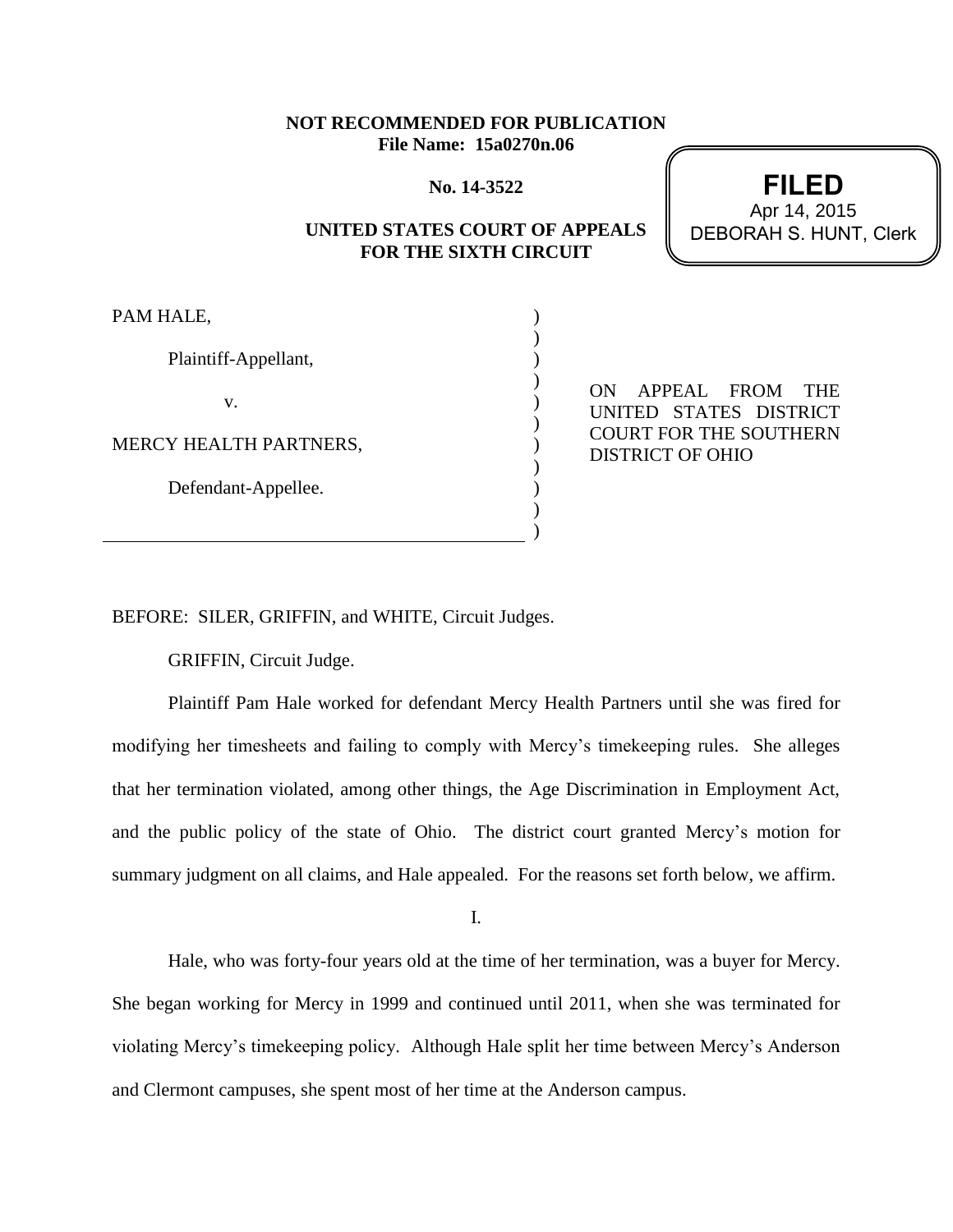## **NOT RECOMMENDED FOR PUBLICATION File Name: 15a0270n.06**

**No. 14-3522**

# **UNITED STATES COURT OF APPEALS FOR THE SIXTH CIRCUIT**

) ) ) ) ) ) ) ) ) ) )

PAM HALE,

Plaintiff-Appellant,

v.

MERCY HEALTH PARTNERS,

Defendant-Appellee.

ON APPEAL FROM THE UNITED STATES DISTRICT COURT FOR THE SOUTHERN DISTRICT OF OHIO

BEFORE: SILER, GRIFFIN, and WHITE, Circuit Judges.

GRIFFIN, Circuit Judge.

Plaintiff Pam Hale worked for defendant Mercy Health Partners until she was fired for modifying her timesheets and failing to comply with Mercy's timekeeping rules. She alleges that her termination violated, among other things, the Age Discrimination in Employment Act, and the public policy of the state of Ohio. The district court granted Mercy's motion for summary judgment on all claims, and Hale appealed. For the reasons set forth below, we affirm.

I.

Hale, who was forty-four years old at the time of her termination, was a buyer for Mercy. She began working for Mercy in 1999 and continued until 2011, when she was terminated for violating Mercy's timekeeping policy. Although Hale split her time between Mercy's Anderson and Clermont campuses, she spent most of her time at the Anderson campus.

**FILED** DEBORAH S. HUNT, Clerk Apr 14, 2015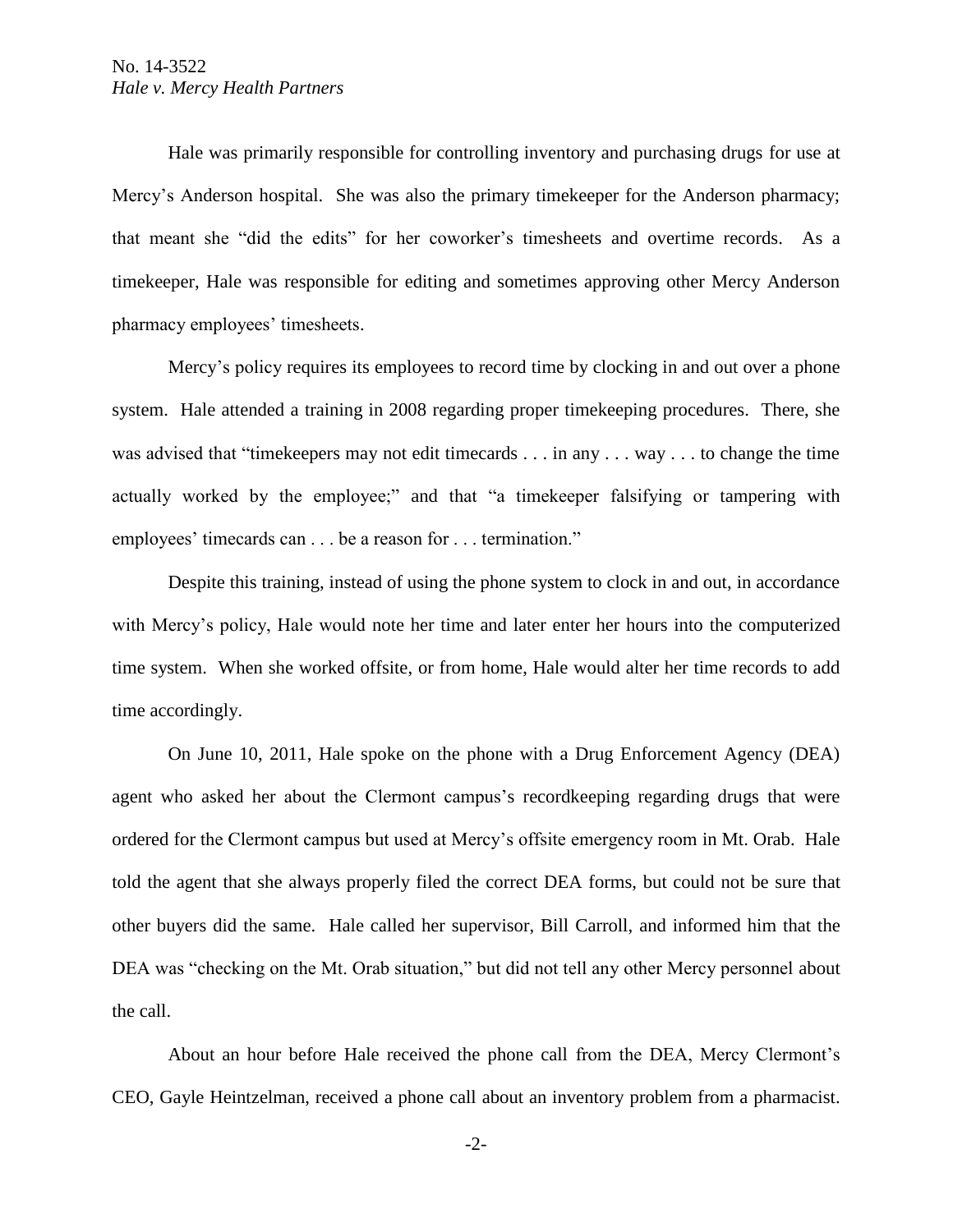Hale was primarily responsible for controlling inventory and purchasing drugs for use at Mercy's Anderson hospital. She was also the primary timekeeper for the Anderson pharmacy; that meant she "did the edits" for her coworker's timesheets and overtime records. As a timekeeper, Hale was responsible for editing and sometimes approving other Mercy Anderson pharmacy employees' timesheets.

Mercy's policy requires its employees to record time by clocking in and out over a phone system. Hale attended a training in 2008 regarding proper timekeeping procedures. There, she was advised that "timekeepers may not edit timecards . . . in any . . . way . . . to change the time actually worked by the employee;" and that "a timekeeper falsifying or tampering with employees' timecards can . . . be a reason for . . . termination."

Despite this training, instead of using the phone system to clock in and out, in accordance with Mercy's policy, Hale would note her time and later enter her hours into the computerized time system. When she worked offsite, or from home, Hale would alter her time records to add time accordingly.

On June 10, 2011, Hale spoke on the phone with a Drug Enforcement Agency (DEA) agent who asked her about the Clermont campus's recordkeeping regarding drugs that were ordered for the Clermont campus but used at Mercy's offsite emergency room in Mt. Orab. Hale told the agent that she always properly filed the correct DEA forms, but could not be sure that other buyers did the same. Hale called her supervisor, Bill Carroll, and informed him that the DEA was "checking on the Mt. Orab situation," but did not tell any other Mercy personnel about the call.

About an hour before Hale received the phone call from the DEA, Mercy Clermont's CEO, Gayle Heintzelman, received a phone call about an inventory problem from a pharmacist.

-2-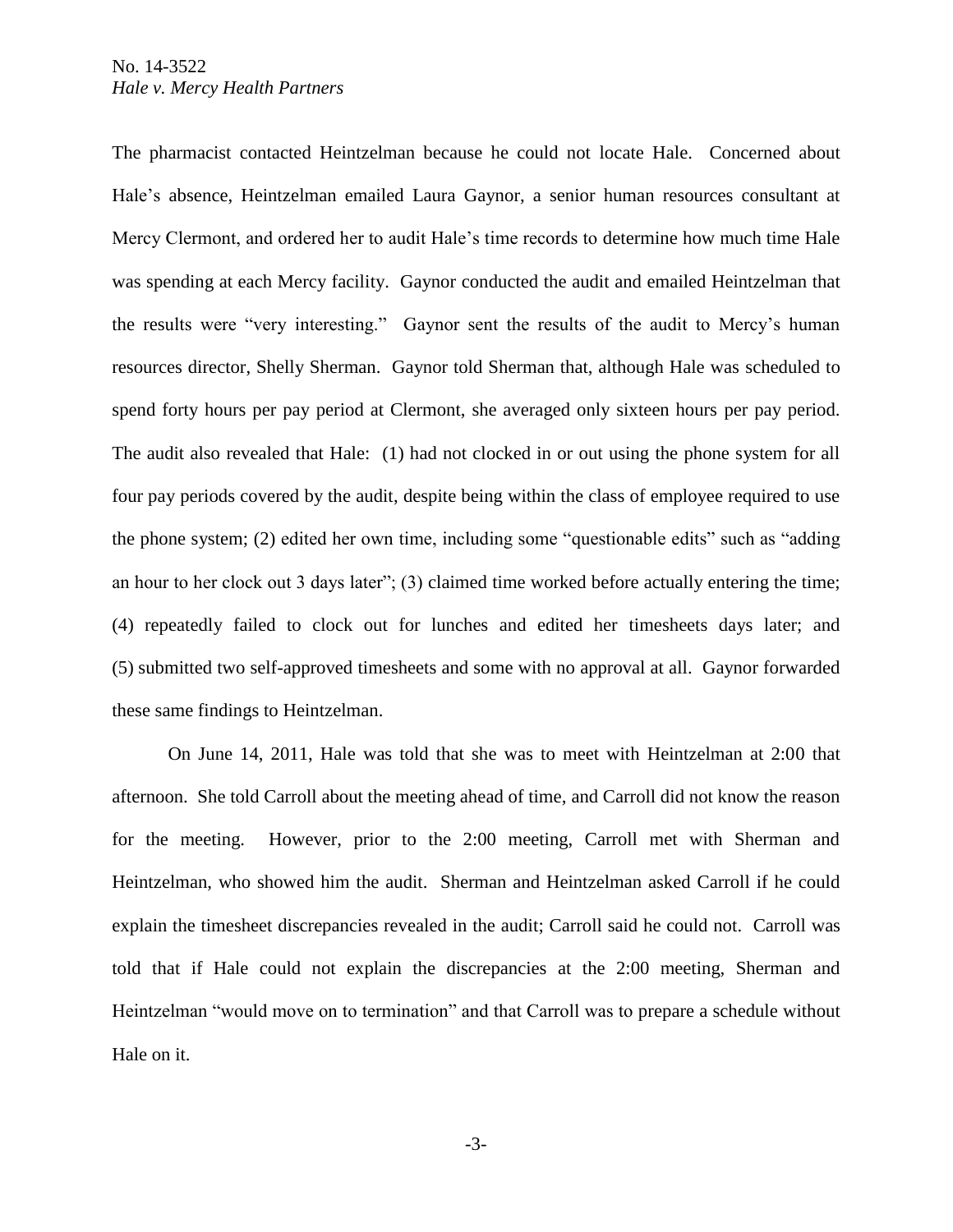The pharmacist contacted Heintzelman because he could not locate Hale. Concerned about Hale's absence, Heintzelman emailed Laura Gaynor, a senior human resources consultant at Mercy Clermont, and ordered her to audit Hale's time records to determine how much time Hale was spending at each Mercy facility. Gaynor conducted the audit and emailed Heintzelman that the results were "very interesting." Gaynor sent the results of the audit to Mercy's human resources director, Shelly Sherman. Gaynor told Sherman that, although Hale was scheduled to spend forty hours per pay period at Clermont, she averaged only sixteen hours per pay period. The audit also revealed that Hale: (1) had not clocked in or out using the phone system for all four pay periods covered by the audit, despite being within the class of employee required to use the phone system; (2) edited her own time, including some "questionable edits" such as "adding an hour to her clock out 3 days later"; (3) claimed time worked before actually entering the time; (4) repeatedly failed to clock out for lunches and edited her timesheets days later; and (5) submitted two self-approved timesheets and some with no approval at all. Gaynor forwarded these same findings to Heintzelman.

On June 14, 2011, Hale was told that she was to meet with Heintzelman at 2:00 that afternoon. She told Carroll about the meeting ahead of time, and Carroll did not know the reason for the meeting. However, prior to the 2:00 meeting, Carroll met with Sherman and Heintzelman, who showed him the audit. Sherman and Heintzelman asked Carroll if he could explain the timesheet discrepancies revealed in the audit; Carroll said he could not. Carroll was told that if Hale could not explain the discrepancies at the 2:00 meeting, Sherman and Heintzelman "would move on to termination" and that Carroll was to prepare a schedule without Hale on it.

-3-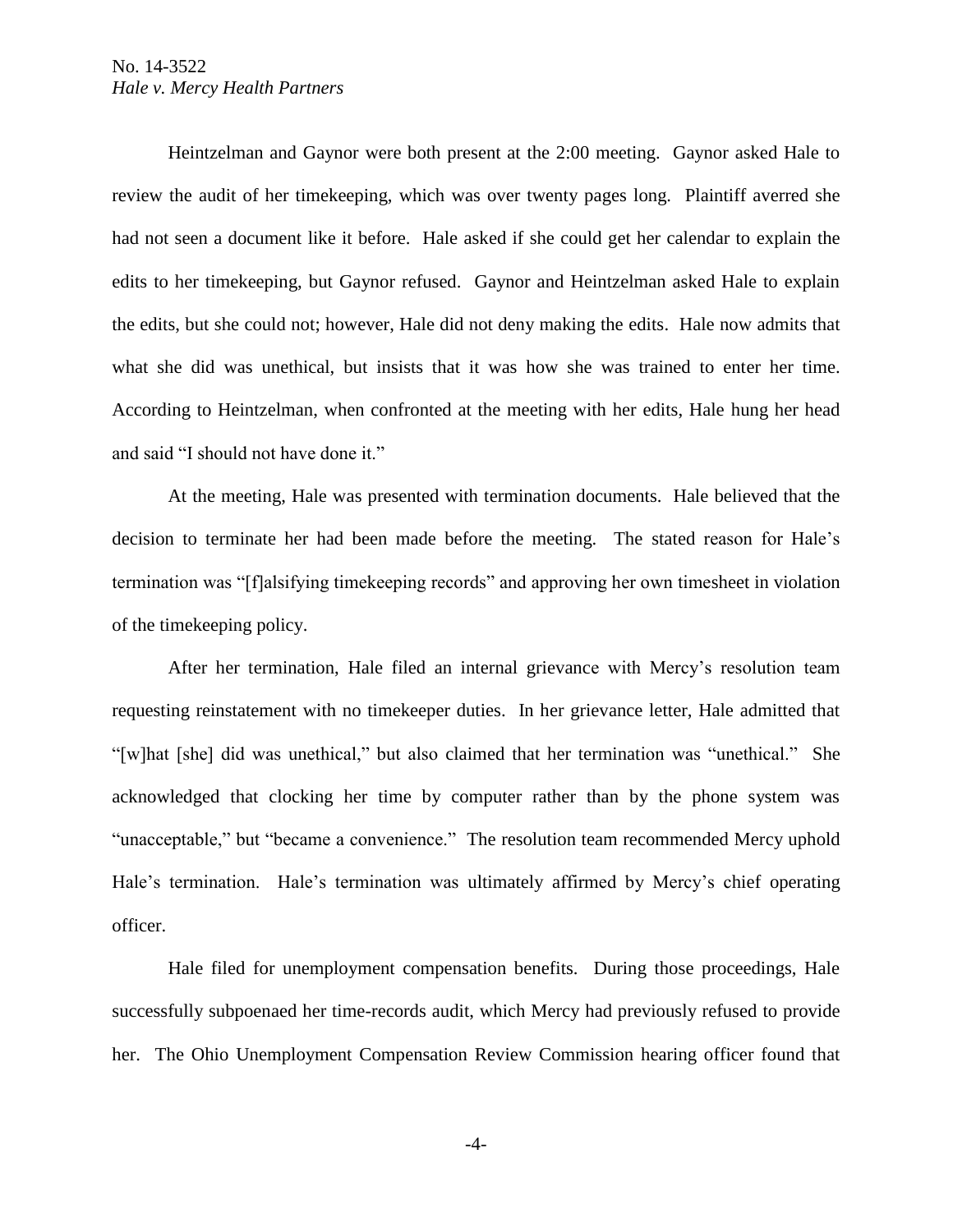Heintzelman and Gaynor were both present at the 2:00 meeting. Gaynor asked Hale to review the audit of her timekeeping, which was over twenty pages long. Plaintiff averred she had not seen a document like it before. Hale asked if she could get her calendar to explain the edits to her timekeeping, but Gaynor refused. Gaynor and Heintzelman asked Hale to explain the edits, but she could not; however, Hale did not deny making the edits. Hale now admits that what she did was unethical, but insists that it was how she was trained to enter her time. According to Heintzelman, when confronted at the meeting with her edits, Hale hung her head and said "I should not have done it."

At the meeting, Hale was presented with termination documents. Hale believed that the decision to terminate her had been made before the meeting. The stated reason for Hale's termination was "[f]alsifying timekeeping records" and approving her own timesheet in violation of the timekeeping policy.

After her termination, Hale filed an internal grievance with Mercy's resolution team requesting reinstatement with no timekeeper duties. In her grievance letter, Hale admitted that "[w]hat [she] did was unethical," but also claimed that her termination was "unethical." She acknowledged that clocking her time by computer rather than by the phone system was "unacceptable," but "became a convenience." The resolution team recommended Mercy uphold Hale's termination. Hale's termination was ultimately affirmed by Mercy's chief operating officer.

Hale filed for unemployment compensation benefits. During those proceedings, Hale successfully subpoenaed her time-records audit, which Mercy had previously refused to provide her. The Ohio Unemployment Compensation Review Commission hearing officer found that

-4-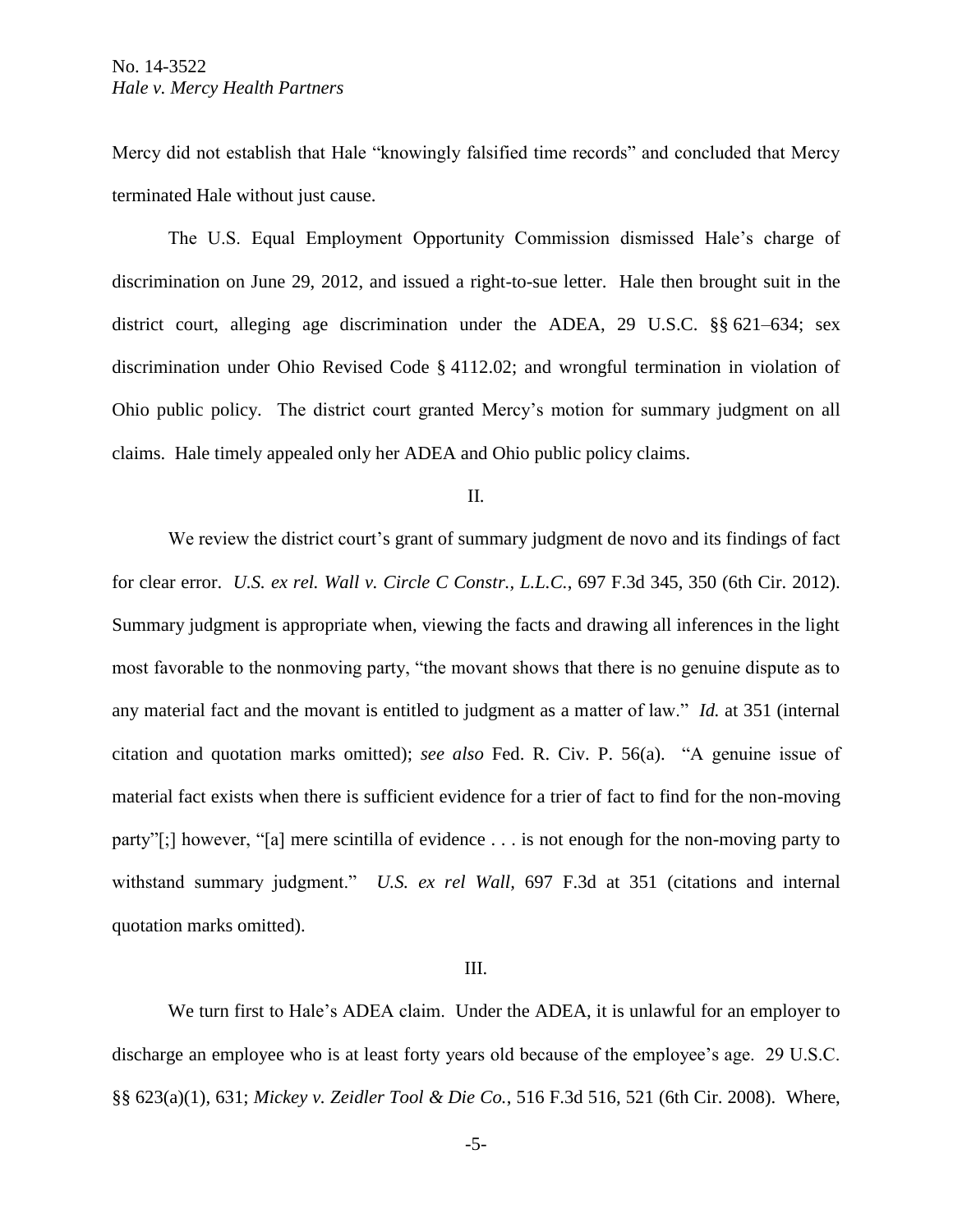Mercy did not establish that Hale "knowingly falsified time records" and concluded that Mercy terminated Hale without just cause.

The U.S. Equal Employment Opportunity Commission dismissed Hale's charge of discrimination on June 29, 2012, and issued a right-to-sue letter. Hale then brought suit in the district court, alleging age discrimination under the ADEA, 29 U.S.C. §§ 621–634; sex discrimination under Ohio Revised Code § 4112.02; and wrongful termination in violation of Ohio public policy. The district court granted Mercy's motion for summary judgment on all claims. Hale timely appealed only her ADEA and Ohio public policy claims.

#### II.

We review the district court's grant of summary judgment de novo and its findings of fact for clear error. *U.S. ex rel. Wall v. Circle C Constr., L.L.C.*, 697 F.3d 345, 350 (6th Cir. 2012). Summary judgment is appropriate when, viewing the facts and drawing all inferences in the light most favorable to the nonmoving party, "the movant shows that there is no genuine dispute as to any material fact and the movant is entitled to judgment as a matter of law." *Id.* at 351 (internal citation and quotation marks omitted); *see also* Fed. R. Civ. P. 56(a). "A genuine issue of material fact exists when there is sufficient evidence for a trier of fact to find for the non-moving party"[;] however, "[a] mere scintilla of evidence . . . is not enough for the non-moving party to withstand summary judgment." *U.S. ex rel Wall,* 697 F.3d at 351 (citations and internal quotation marks omitted).

#### III.

We turn first to Hale's ADEA claim. Under the ADEA, it is unlawful for an employer to discharge an employee who is at least forty years old because of the employee's age. 29 U.S.C. §§ 623(a)(1), 631; *Mickey v. Zeidler Tool & Die Co.*, 516 F.3d 516, 521 (6th Cir. 2008). Where,

-5-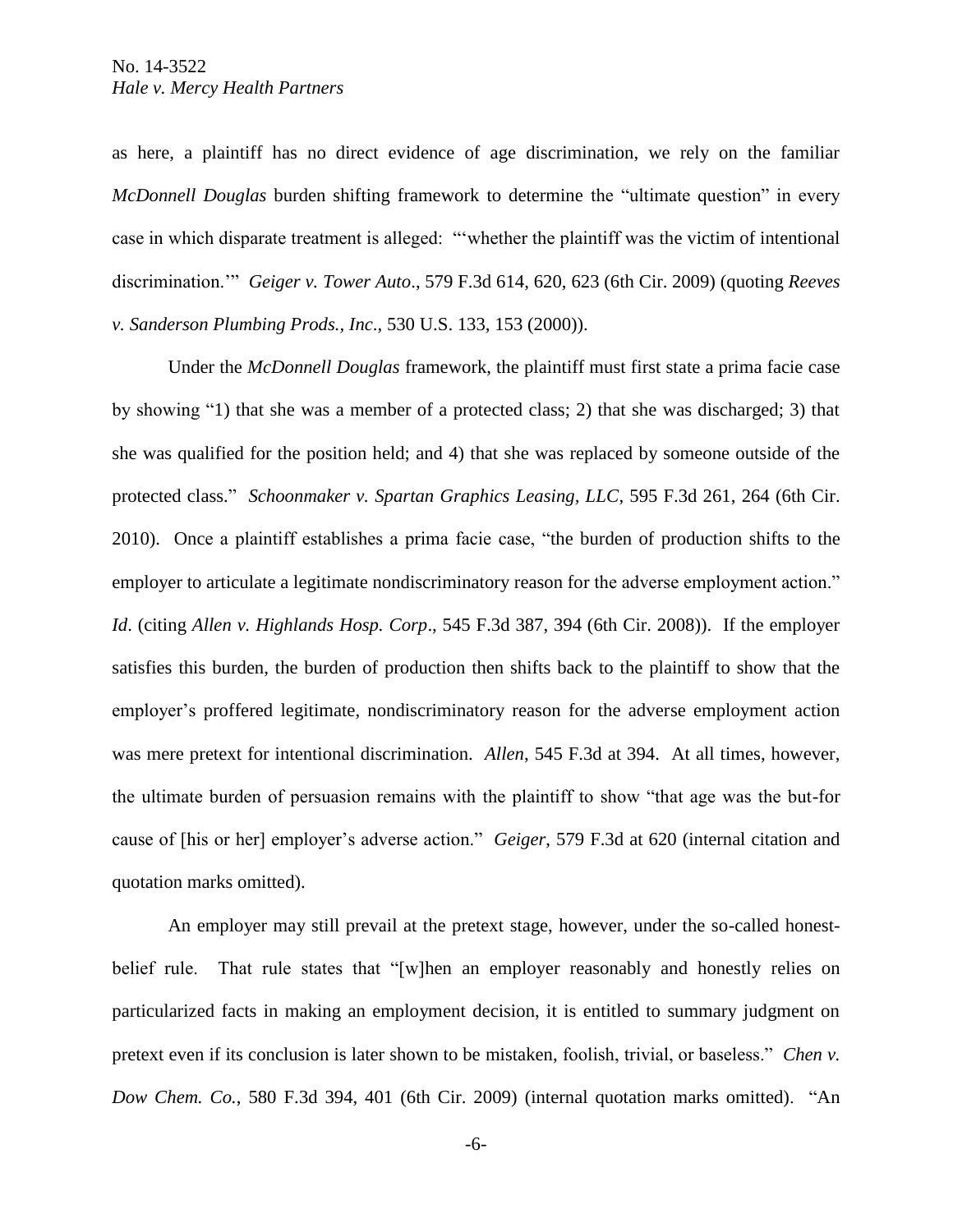as here, a plaintiff has no direct evidence of age discrimination, we rely on the familiar *McDonnell Douglas* burden shifting framework to determine the "ultimate question" in every case in which disparate treatment is alleged: "'whether the plaintiff was the victim of intentional discrimination.'" *Geiger v. Tower Auto*., 579 F.3d 614, 620, 623 (6th Cir. 2009) (quoting *Reeves v. Sanderson Plumbing Prods., Inc*., 530 U.S. 133, 153 (2000)).

Under the *McDonnell Douglas* framework, the plaintiff must first state a prima facie case by showing "1) that she was a member of a protected class; 2) that she was discharged; 3) that she was qualified for the position held; and 4) that she was replaced by someone outside of the protected class." *Schoonmaker v. Spartan Graphics Leasing, LLC*, 595 F.3d 261, 264 (6th Cir. 2010). Once a plaintiff establishes a prima facie case, "the burden of production shifts to the employer to articulate a legitimate nondiscriminatory reason for the adverse employment action." *Id*. (citing *Allen v. Highlands Hosp. Corp*., 545 F.3d 387, 394 (6th Cir. 2008)). If the employer satisfies this burden, the burden of production then shifts back to the plaintiff to show that the employer's proffered legitimate, nondiscriminatory reason for the adverse employment action was mere pretext for intentional discrimination. *Allen*, 545 F.3d at 394. At all times, however, the ultimate burden of persuasion remains with the plaintiff to show "that age was the but-for cause of [his or her] employer's adverse action." *Geiger*, 579 F.3d at 620 (internal citation and quotation marks omitted).

An employer may still prevail at the pretext stage, however, under the so-called honestbelief rule. That rule states that "[w]hen an employer reasonably and honestly relies on particularized facts in making an employment decision, it is entitled to summary judgment on pretext even if its conclusion is later shown to be mistaken, foolish, trivial, or baseless." *Chen v. Dow Chem. Co.*, 580 F.3d 394, 401 (6th Cir. 2009) (internal quotation marks omitted). "An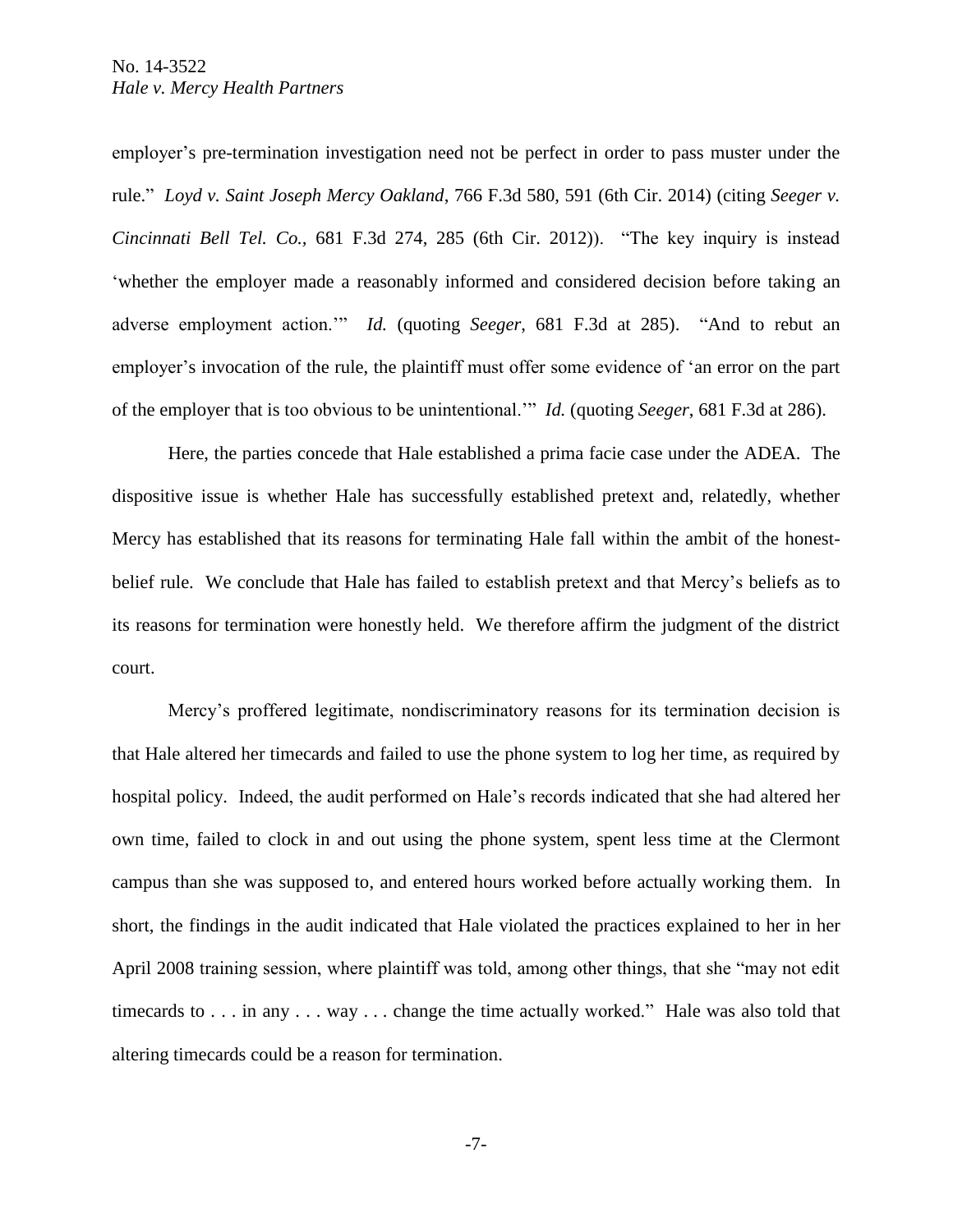employer's pre-termination investigation need not be perfect in order to pass muster under the rule." *Loyd v. Saint Joseph Mercy Oakland*, 766 F.3d 580, 591 (6th Cir. 2014) (citing *Seeger v. Cincinnati Bell Tel. Co.,* 681 F.3d 274, 285 (6th Cir. 2012)). "The key inquiry is instead 'whether the employer made a reasonably informed and considered decision before taking an adverse employment action.'" *Id.* (quoting *Seeger*, 681 F.3d at 285). "And to rebut an employer's invocation of the rule, the plaintiff must offer some evidence of 'an error on the part of the employer that is too obvious to be unintentional.'" *Id.* (quoting *Seeger*, 681 F.3d at 286).

Here, the parties concede that Hale established a prima facie case under the ADEA. The dispositive issue is whether Hale has successfully established pretext and, relatedly, whether Mercy has established that its reasons for terminating Hale fall within the ambit of the honestbelief rule. We conclude that Hale has failed to establish pretext and that Mercy's beliefs as to its reasons for termination were honestly held. We therefore affirm the judgment of the district court.

Mercy's proffered legitimate, nondiscriminatory reasons for its termination decision is that Hale altered her timecards and failed to use the phone system to log her time, as required by hospital policy. Indeed, the audit performed on Hale's records indicated that she had altered her own time, failed to clock in and out using the phone system, spent less time at the Clermont campus than she was supposed to, and entered hours worked before actually working them. In short, the findings in the audit indicated that Hale violated the practices explained to her in her April 2008 training session, where plaintiff was told, among other things, that she "may not edit timecards to . . . in any . . . way . . . change the time actually worked." Hale was also told that altering timecards could be a reason for termination.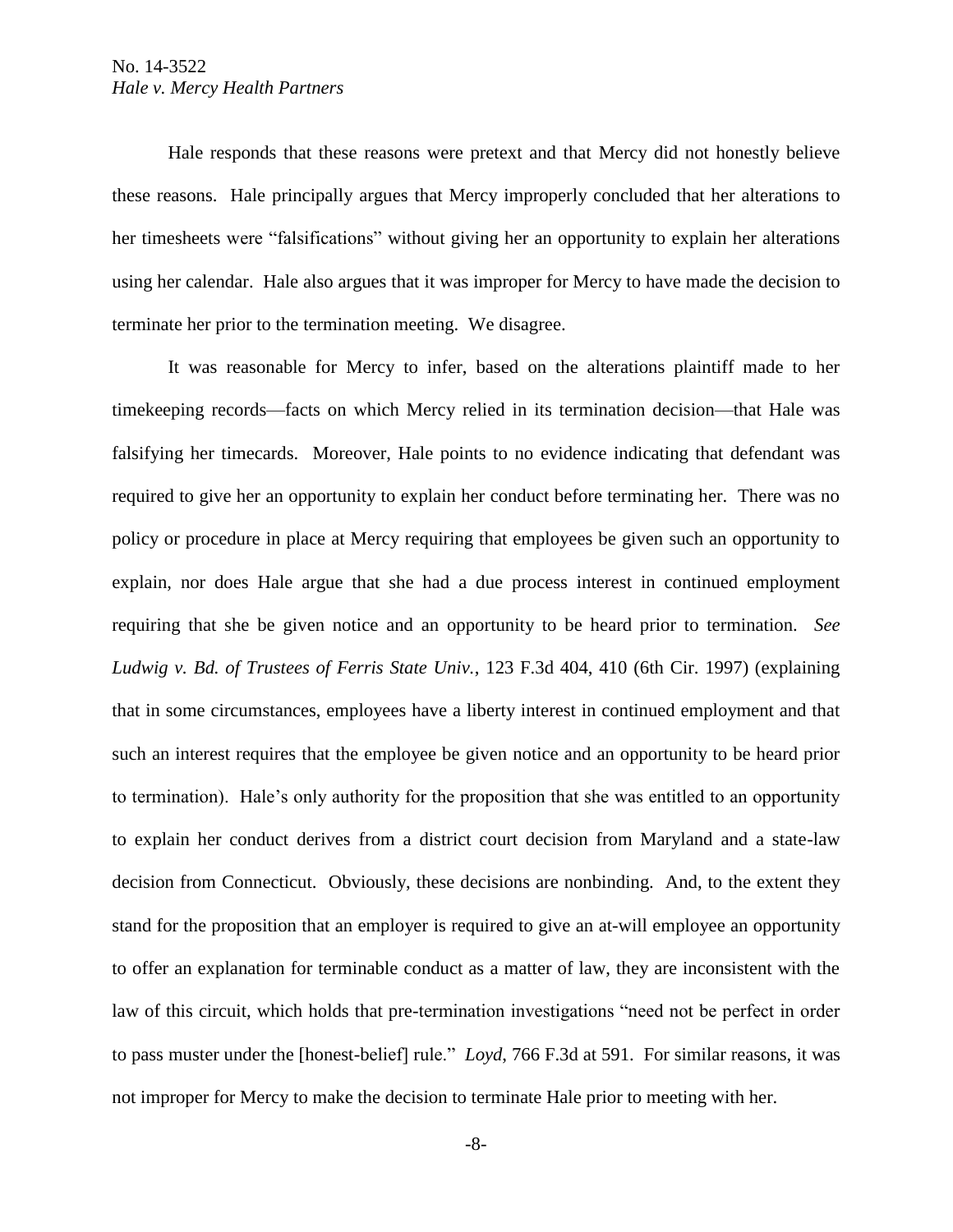Hale responds that these reasons were pretext and that Mercy did not honestly believe these reasons. Hale principally argues that Mercy improperly concluded that her alterations to her timesheets were "falsifications" without giving her an opportunity to explain her alterations using her calendar. Hale also argues that it was improper for Mercy to have made the decision to terminate her prior to the termination meeting. We disagree.

It was reasonable for Mercy to infer, based on the alterations plaintiff made to her timekeeping records—facts on which Mercy relied in its termination decision—that Hale was falsifying her timecards. Moreover, Hale points to no evidence indicating that defendant was required to give her an opportunity to explain her conduct before terminating her. There was no policy or procedure in place at Mercy requiring that employees be given such an opportunity to explain, nor does Hale argue that she had a due process interest in continued employment requiring that she be given notice and an opportunity to be heard prior to termination. *See Ludwig v. Bd. of Trustees of Ferris State Univ.*, 123 F.3d 404, 410 (6th Cir. 1997) (explaining that in some circumstances, employees have a liberty interest in continued employment and that such an interest requires that the employee be given notice and an opportunity to be heard prior to termination). Hale's only authority for the proposition that she was entitled to an opportunity to explain her conduct derives from a district court decision from Maryland and a state-law decision from Connecticut. Obviously, these decisions are nonbinding. And, to the extent they stand for the proposition that an employer is required to give an at-will employee an opportunity to offer an explanation for terminable conduct as a matter of law, they are inconsistent with the law of this circuit, which holds that pre-termination investigations "need not be perfect in order to pass muster under the [honest-belief] rule." *Loyd*, 766 F.3d at 591. For similar reasons, it was not improper for Mercy to make the decision to terminate Hale prior to meeting with her.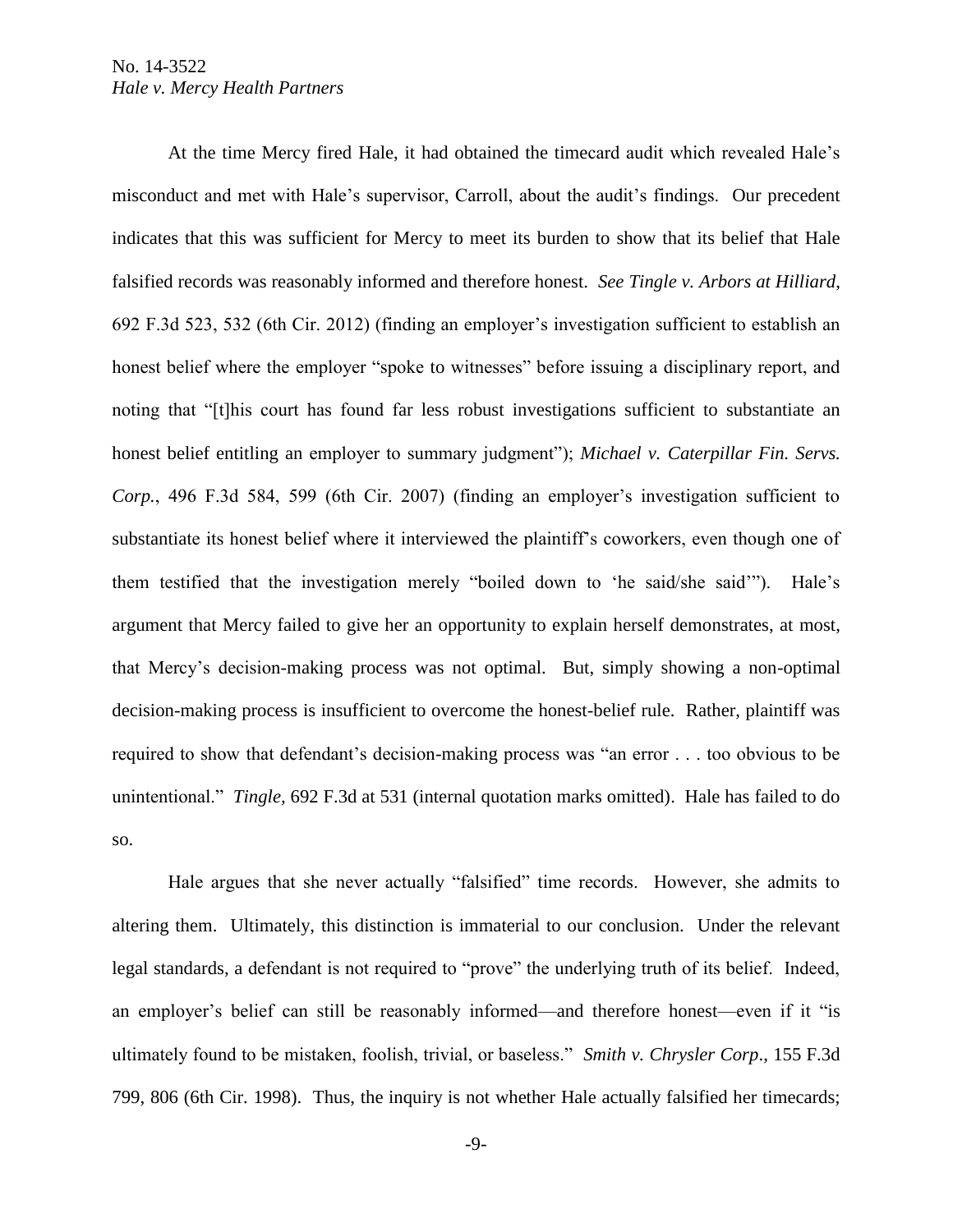At the time Mercy fired Hale, it had obtained the timecard audit which revealed Hale's misconduct and met with Hale's supervisor, Carroll, about the audit's findings. Our precedent indicates that this was sufficient for Mercy to meet its burden to show that its belief that Hale falsified records was reasonably informed and therefore honest. *See Tingle v. Arbors at Hilliard*, 692 F.3d 523, 532 (6th Cir. 2012) (finding an employer's investigation sufficient to establish an honest belief where the employer "spoke to witnesses" before issuing a disciplinary report, and noting that "[t]his court has found far less robust investigations sufficient to substantiate an honest belief entitling an employer to summary judgment"); *Michael v. Caterpillar Fin. Servs. Corp.*, 496 F.3d 584, 599 (6th Cir. 2007) (finding an employer's investigation sufficient to substantiate its honest belief where it interviewed the plaintiff's coworkers, even though one of them testified that the investigation merely "boiled down to 'he said/she said'"). Hale's argument that Mercy failed to give her an opportunity to explain herself demonstrates, at most, that Mercy's decision-making process was not optimal. But, simply showing a non-optimal decision-making process is insufficient to overcome the honest-belief rule. Rather, plaintiff was required to show that defendant's decision-making process was "an error . . . too obvious to be unintentional." *Tingle,* 692 F.3d at 531 (internal quotation marks omitted). Hale has failed to do so.

Hale argues that she never actually "falsified" time records. However, she admits to altering them. Ultimately, this distinction is immaterial to our conclusion. Under the relevant legal standards, a defendant is not required to "prove" the underlying truth of its belief. Indeed, an employer's belief can still be reasonably informed—and therefore honest—even if it "is ultimately found to be mistaken, foolish, trivial, or baseless." *Smith v. Chrysler Corp*., 155 F.3d 799, 806 (6th Cir. 1998). Thus, the inquiry is not whether Hale actually falsified her timecards;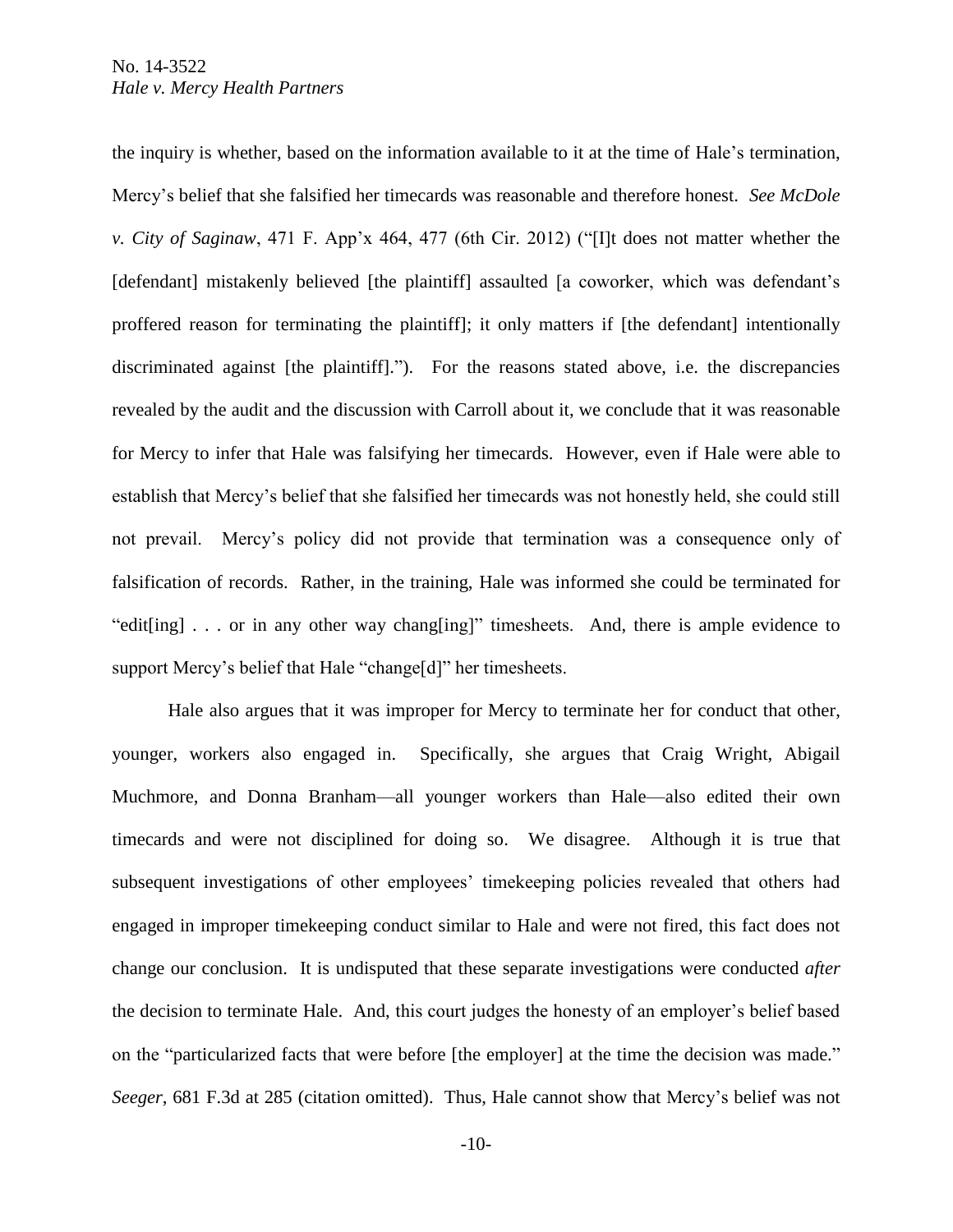the inquiry is whether, based on the information available to it at the time of Hale's termination, Mercy's belief that she falsified her timecards was reasonable and therefore honest. *See McDole v. City of Saginaw*, 471 F. App'x 464, 477 (6th Cir. 2012) ("[I]t does not matter whether the [defendant] mistakenly believed [the plaintiff] assaulted [a coworker, which was defendant's proffered reason for terminating the plaintiff]; it only matters if [the defendant] intentionally discriminated against [the plaintiff]."). For the reasons stated above, i.e. the discrepancies revealed by the audit and the discussion with Carroll about it, we conclude that it was reasonable for Mercy to infer that Hale was falsifying her timecards. However, even if Hale were able to establish that Mercy's belief that she falsified her timecards was not honestly held, she could still not prevail. Mercy's policy did not provide that termination was a consequence only of falsification of records. Rather, in the training, Hale was informed she could be terminated for "edit[ing] . . . or in any other way chang[ing]" timesheets. And, there is ample evidence to support Mercy's belief that Hale "change[d]" her timesheets.

Hale also argues that it was improper for Mercy to terminate her for conduct that other, younger, workers also engaged in. Specifically, she argues that Craig Wright, Abigail Muchmore, and Donna Branham—all younger workers than Hale—also edited their own timecards and were not disciplined for doing so. We disagree. Although it is true that subsequent investigations of other employees' timekeeping policies revealed that others had engaged in improper timekeeping conduct similar to Hale and were not fired, this fact does not change our conclusion. It is undisputed that these separate investigations were conducted *after* the decision to terminate Hale. And, this court judges the honesty of an employer's belief based on the "particularized facts that were before [the employer] at the time the decision was made." *Seeger*, 681 F.3d at 285 (citation omitted). Thus, Hale cannot show that Mercy's belief was not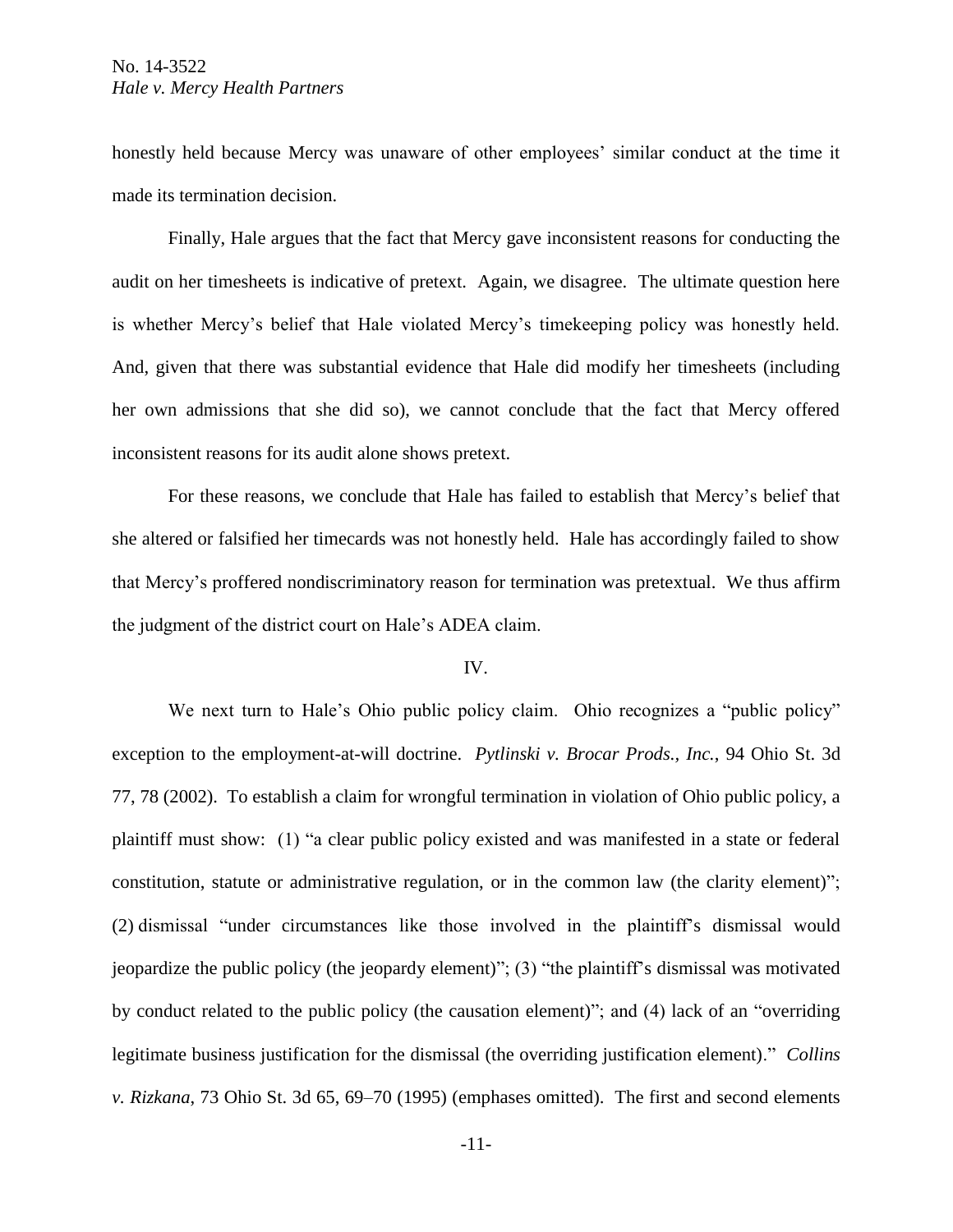honestly held because Mercy was unaware of other employees' similar conduct at the time it made its termination decision.

Finally, Hale argues that the fact that Mercy gave inconsistent reasons for conducting the audit on her timesheets is indicative of pretext. Again, we disagree. The ultimate question here is whether Mercy's belief that Hale violated Mercy's timekeeping policy was honestly held. And, given that there was substantial evidence that Hale did modify her timesheets (including her own admissions that she did so), we cannot conclude that the fact that Mercy offered inconsistent reasons for its audit alone shows pretext.

For these reasons, we conclude that Hale has failed to establish that Mercy's belief that she altered or falsified her timecards was not honestly held. Hale has accordingly failed to show that Mercy's proffered nondiscriminatory reason for termination was pretextual. We thus affirm the judgment of the district court on Hale's ADEA claim.

#### IV.

We next turn to Hale's Ohio public policy claim. Ohio recognizes a "public policy" exception to the employment-at-will doctrine. *Pytlinski v. Brocar Prods., Inc.*, 94 Ohio St. 3d 77, 78 (2002). To establish a claim for wrongful termination in violation of Ohio public policy, a plaintiff must show: (1) "a clear public policy existed and was manifested in a state or federal constitution, statute or administrative regulation, or in the common law (the clarity element)"; (2) dismissal "under circumstances like those involved in the plaintiff's dismissal would jeopardize the public policy (the jeopardy element)"; (3) "the plaintiff's dismissal was motivated by conduct related to the public policy (the causation element)"; and (4) lack of an "overriding legitimate business justification for the dismissal (the overriding justification element)." *Collins v. Rizkana*, 73 Ohio St. 3d 65, 69–70 (1995) (emphases omitted). The first and second elements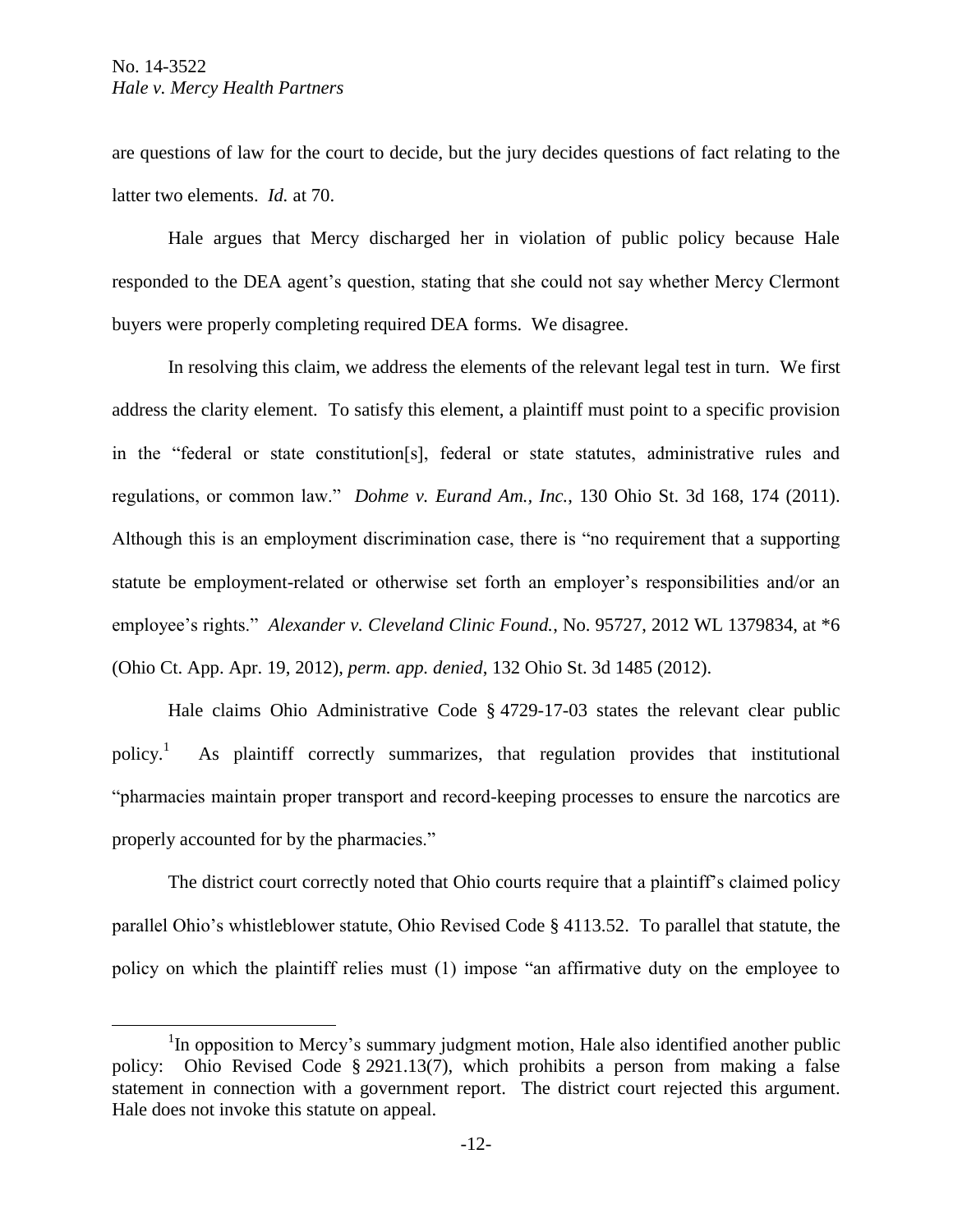$\overline{a}$ 

are questions of law for the court to decide, but the jury decides questions of fact relating to the latter two elements. *Id.* at 70.

Hale argues that Mercy discharged her in violation of public policy because Hale responded to the DEA agent's question, stating that she could not say whether Mercy Clermont buyers were properly completing required DEA forms. We disagree.

In resolving this claim, we address the elements of the relevant legal test in turn. We first address the clarity element. To satisfy this element, a plaintiff must point to a specific provision in the "federal or state constitution[s], federal or state statutes, administrative rules and regulations, or common law." *Dohme v. Eurand Am., Inc.*, 130 Ohio St. 3d 168, 174 (2011). Although this is an employment discrimination case, there is "no requirement that a supporting statute be employment-related or otherwise set forth an employer's responsibilities and/or an employee's rights." *Alexander v. Cleveland Clinic Found.*, No. 95727, 2012 WL 1379834, at \*6 (Ohio Ct. App. Apr. 19, 2012), *perm. app. denied*, 132 Ohio St. 3d 1485 (2012).

Hale claims Ohio Administrative Code § 4729-17-03 states the relevant clear public  $\text{policy.}^1$  As plaintiff correctly summarizes, that regulation provides that institutional "pharmacies maintain proper transport and record-keeping processes to ensure the narcotics are properly accounted for by the pharmacies."

The district court correctly noted that Ohio courts require that a plaintiff's claimed policy parallel Ohio's whistleblower statute, Ohio Revised Code § 4113.52. To parallel that statute, the policy on which the plaintiff relies must (1) impose "an affirmative duty on the employee to

 $1$ In opposition to Mercy's summary judgment motion, Hale also identified another public policy: Ohio Revised Code § 2921.13(7), which prohibits a person from making a false statement in connection with a government report. The district court rejected this argument. Hale does not invoke this statute on appeal.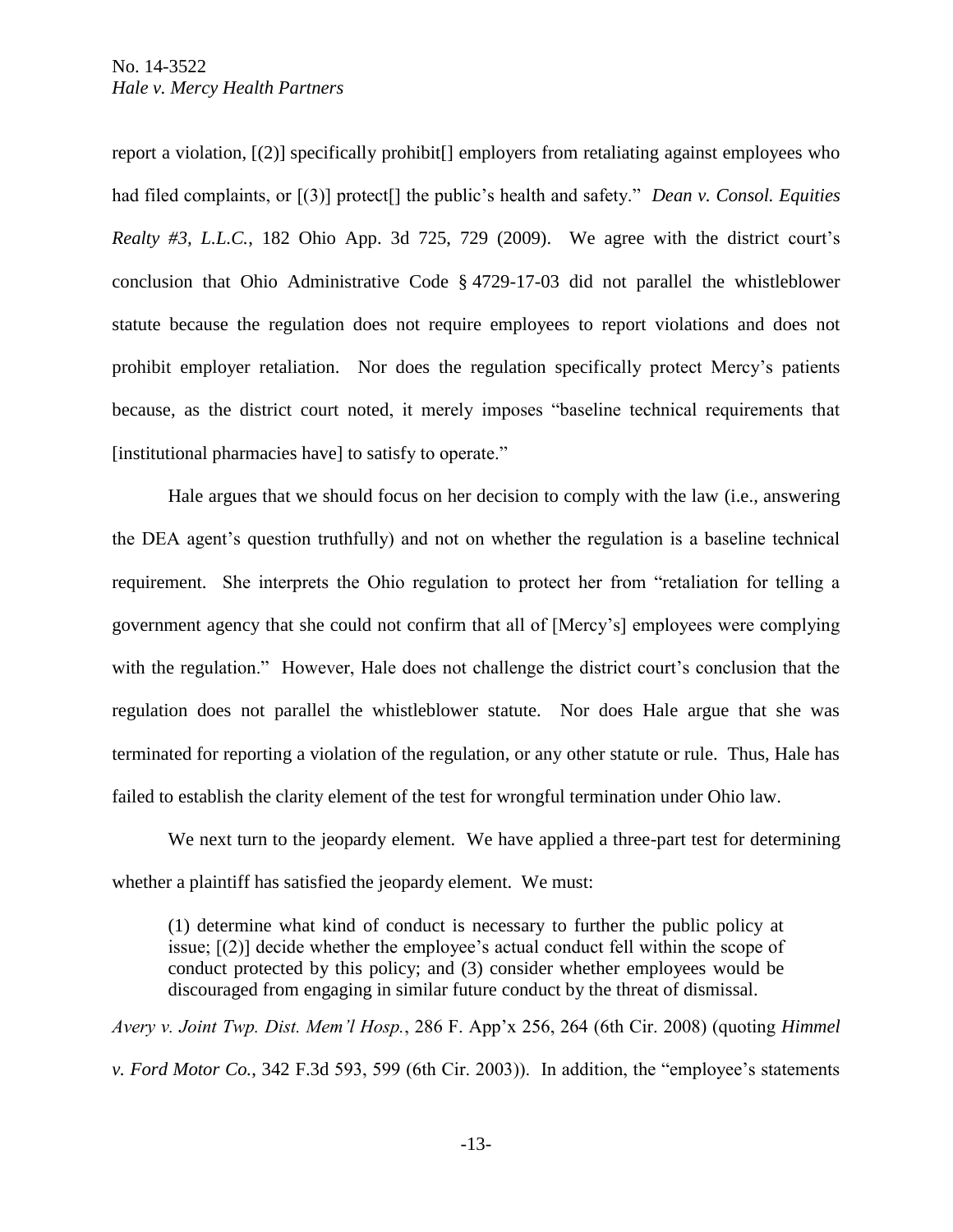report a violation, [(2)] specifically prohibit[] employers from retaliating against employees who had filed complaints, or [(3)] protect[] the public's health and safety." *Dean v. Consol. Equities Realty #3, L.L.C.*, 182 Ohio App. 3d 725, 729 (2009). We agree with the district court's conclusion that Ohio Administrative Code § 4729-17-03 did not parallel the whistleblower statute because the regulation does not require employees to report violations and does not prohibit employer retaliation. Nor does the regulation specifically protect Mercy's patients because, as the district court noted, it merely imposes "baseline technical requirements that [institutional pharmacies have] to satisfy to operate."

Hale argues that we should focus on her decision to comply with the law (i.e., answering the DEA agent's question truthfully) and not on whether the regulation is a baseline technical requirement. She interprets the Ohio regulation to protect her from "retaliation for telling a government agency that she could not confirm that all of [Mercy's] employees were complying with the regulation." However, Hale does not challenge the district court's conclusion that the regulation does not parallel the whistleblower statute. Nor does Hale argue that she was terminated for reporting a violation of the regulation, or any other statute or rule. Thus, Hale has failed to establish the clarity element of the test for wrongful termination under Ohio law.

We next turn to the jeopardy element. We have applied a three-part test for determining whether a plaintiff has satisfied the jeopardy element. We must:

(1) determine what kind of conduct is necessary to further the public policy at issue; [(2)] decide whether the employee's actual conduct fell within the scope of conduct protected by this policy; and (3) consider whether employees would be discouraged from engaging in similar future conduct by the threat of dismissal.

*Avery v. Joint Twp. Dist. Mem'l Hosp.*, 286 F. App'x 256, 264 (6th Cir. 2008) (quoting *Himmel v. Ford Motor Co.*, 342 F.3d 593, 599 (6th Cir. 2003)). In addition, the "employee's statements

-13-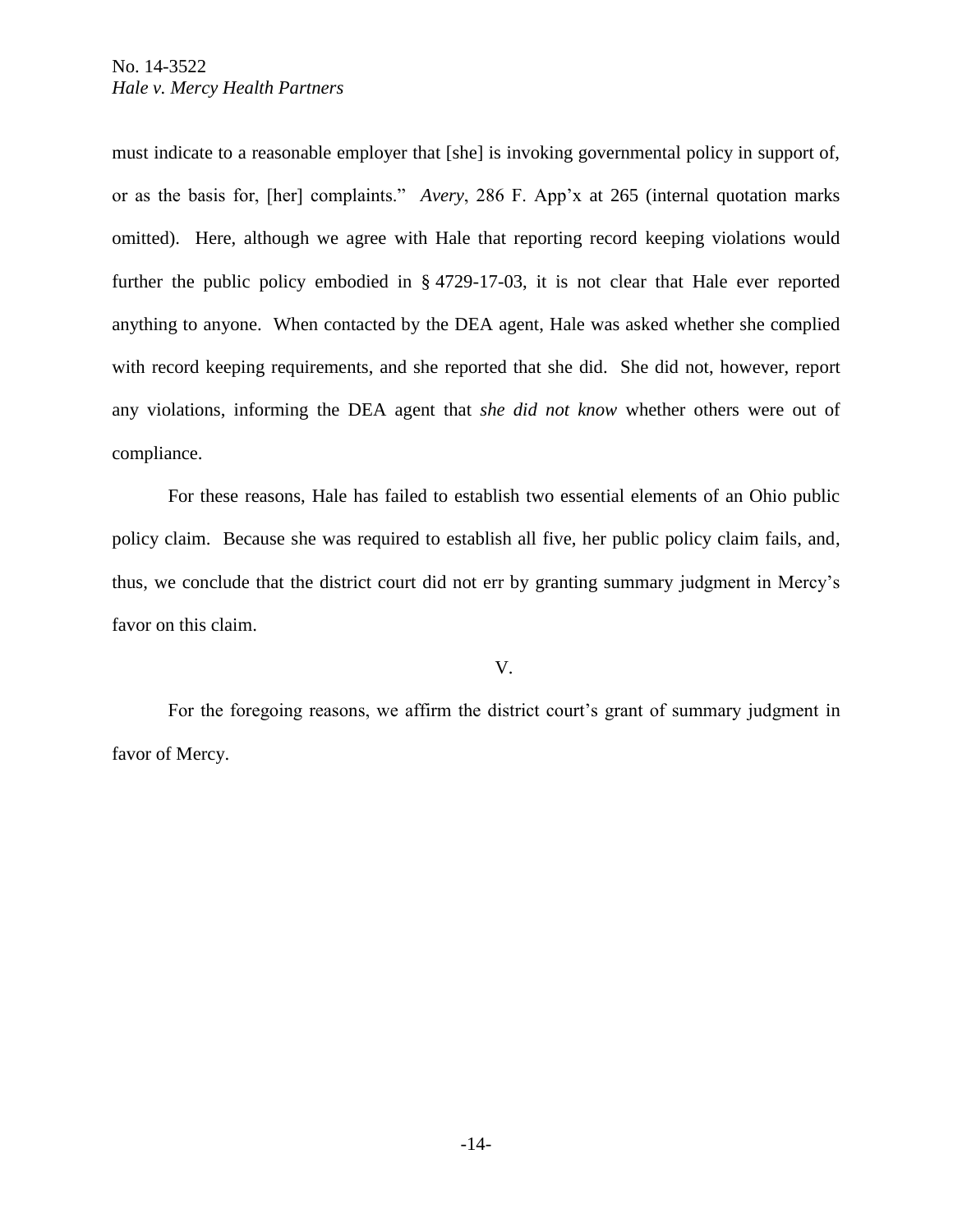must indicate to a reasonable employer that [she] is invoking governmental policy in support of, or as the basis for, [her] complaints." *Avery*, 286 F. App'x at 265 (internal quotation marks omitted). Here, although we agree with Hale that reporting record keeping violations would further the public policy embodied in § 4729-17-03, it is not clear that Hale ever reported anything to anyone. When contacted by the DEA agent, Hale was asked whether she complied with record keeping requirements, and she reported that she did. She did not, however, report any violations, informing the DEA agent that *she did not know* whether others were out of compliance.

For these reasons, Hale has failed to establish two essential elements of an Ohio public policy claim. Because she was required to establish all five, her public policy claim fails, and, thus, we conclude that the district court did not err by granting summary judgment in Mercy's favor on this claim.

V.

For the foregoing reasons, we affirm the district court's grant of summary judgment in favor of Mercy.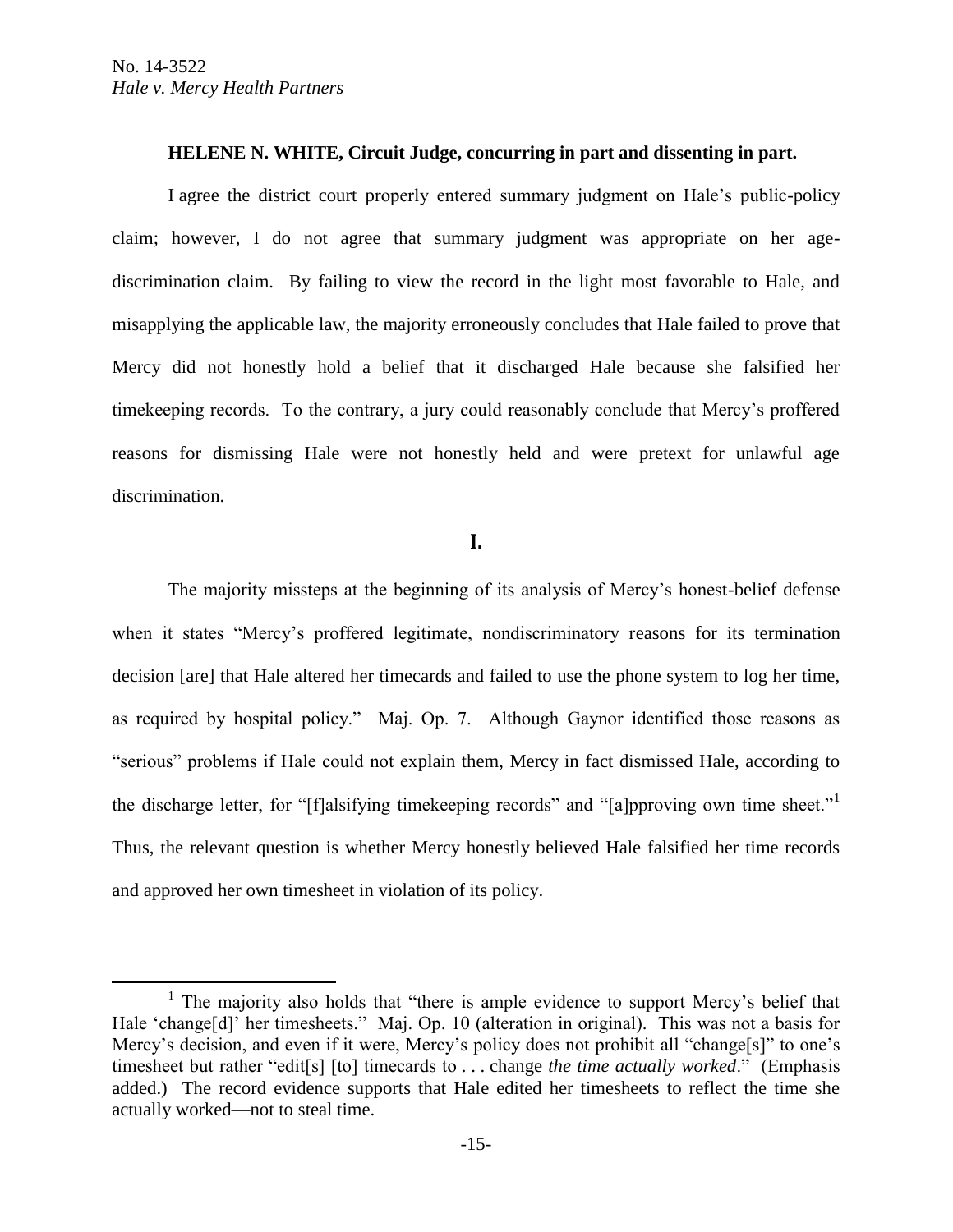$\overline{a}$ 

#### **HELENE N. WHITE, Circuit Judge, concurring in part and dissenting in part.**

I agree the district court properly entered summary judgment on Hale's public-policy claim; however, I do not agree that summary judgment was appropriate on her agediscrimination claim. By failing to view the record in the light most favorable to Hale, and misapplying the applicable law, the majority erroneously concludes that Hale failed to prove that Mercy did not honestly hold a belief that it discharged Hale because she falsified her timekeeping records. To the contrary, a jury could reasonably conclude that Mercy's proffered reasons for dismissing Hale were not honestly held and were pretext for unlawful age discrimination.

# **I.**

The majority missteps at the beginning of its analysis of Mercy's honest-belief defense when it states "Mercy's proffered legitimate, nondiscriminatory reasons for its termination decision [are] that Hale altered her timecards and failed to use the phone system to log her time, as required by hospital policy." Maj. Op. 7. Although Gaynor identified those reasons as "serious" problems if Hale could not explain them, Mercy in fact dismissed Hale, according to the discharge letter, for "[f]alsifying timekeeping records" and "[a]pproving own time sheet."<sup>1</sup> Thus, the relevant question is whether Mercy honestly believed Hale falsified her time records and approved her own timesheet in violation of its policy.

<sup>&</sup>lt;sup>1</sup> The majority also holds that "there is ample evidence to support Mercy's belief that Hale 'change[d]' her timesheets." Maj. Op. 10 (alteration in original). This was not a basis for Mercy's decision, and even if it were, Mercy's policy does not prohibit all "change[s]" to one's timesheet but rather "edit[s] [to] timecards to . . . change *the time actually worked*." (Emphasis added.) The record evidence supports that Hale edited her timesheets to reflect the time she actually worked—not to steal time.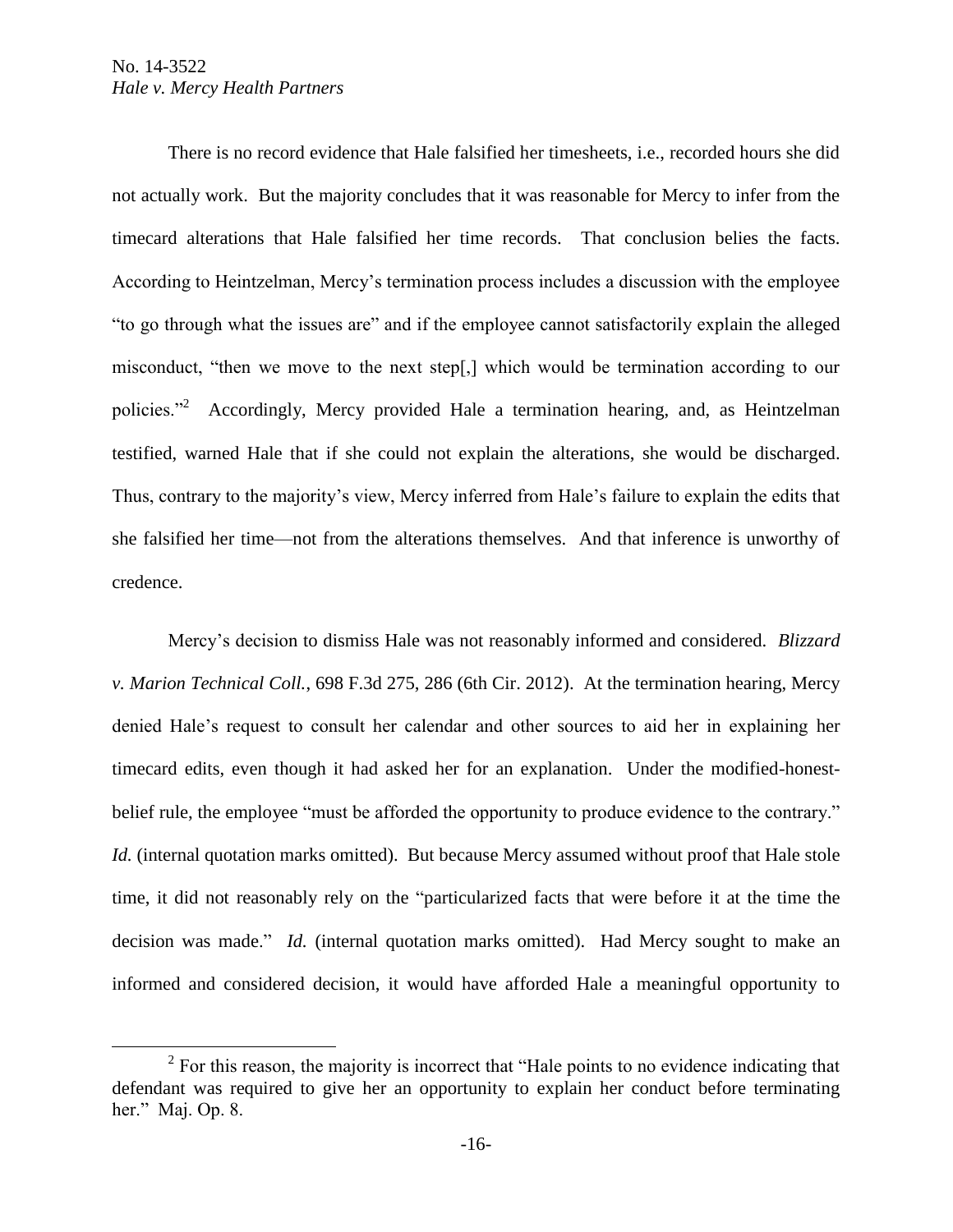$\overline{a}$ 

There is no record evidence that Hale falsified her timesheets, i.e., recorded hours she did not actually work. But the majority concludes that it was reasonable for Mercy to infer from the timecard alterations that Hale falsified her time records. That conclusion belies the facts. According to Heintzelman, Mercy's termination process includes a discussion with the employee "to go through what the issues are" and if the employee cannot satisfactorily explain the alleged misconduct, "then we move to the next step[,] which would be termination according to our policies."<sup>2</sup> Accordingly, Mercy provided Hale a termination hearing, and, as Heintzelman testified, warned Hale that if she could not explain the alterations, she would be discharged. Thus, contrary to the majority's view, Mercy inferred from Hale's failure to explain the edits that she falsified her time—not from the alterations themselves. And that inference is unworthy of credence.

Mercy's decision to dismiss Hale was not reasonably informed and considered. *Blizzard v. Marion Technical Coll.*, 698 F.3d 275, 286 (6th Cir. 2012). At the termination hearing, Mercy denied Hale's request to consult her calendar and other sources to aid her in explaining her timecard edits, even though it had asked her for an explanation. Under the modified-honestbelief rule, the employee "must be afforded the opportunity to produce evidence to the contrary." *Id.* (internal quotation marks omitted). But because Mercy assumed without proof that Hale stole time, it did not reasonably rely on the "particularized facts that were before it at the time the decision was made." *Id.* (internal quotation marks omitted). Had Mercy sought to make an informed and considered decision, it would have afforded Hale a meaningful opportunity to

 $2^2$  For this reason, the majority is incorrect that "Hale points to no evidence indicating that defendant was required to give her an opportunity to explain her conduct before terminating her." Maj. Op. 8.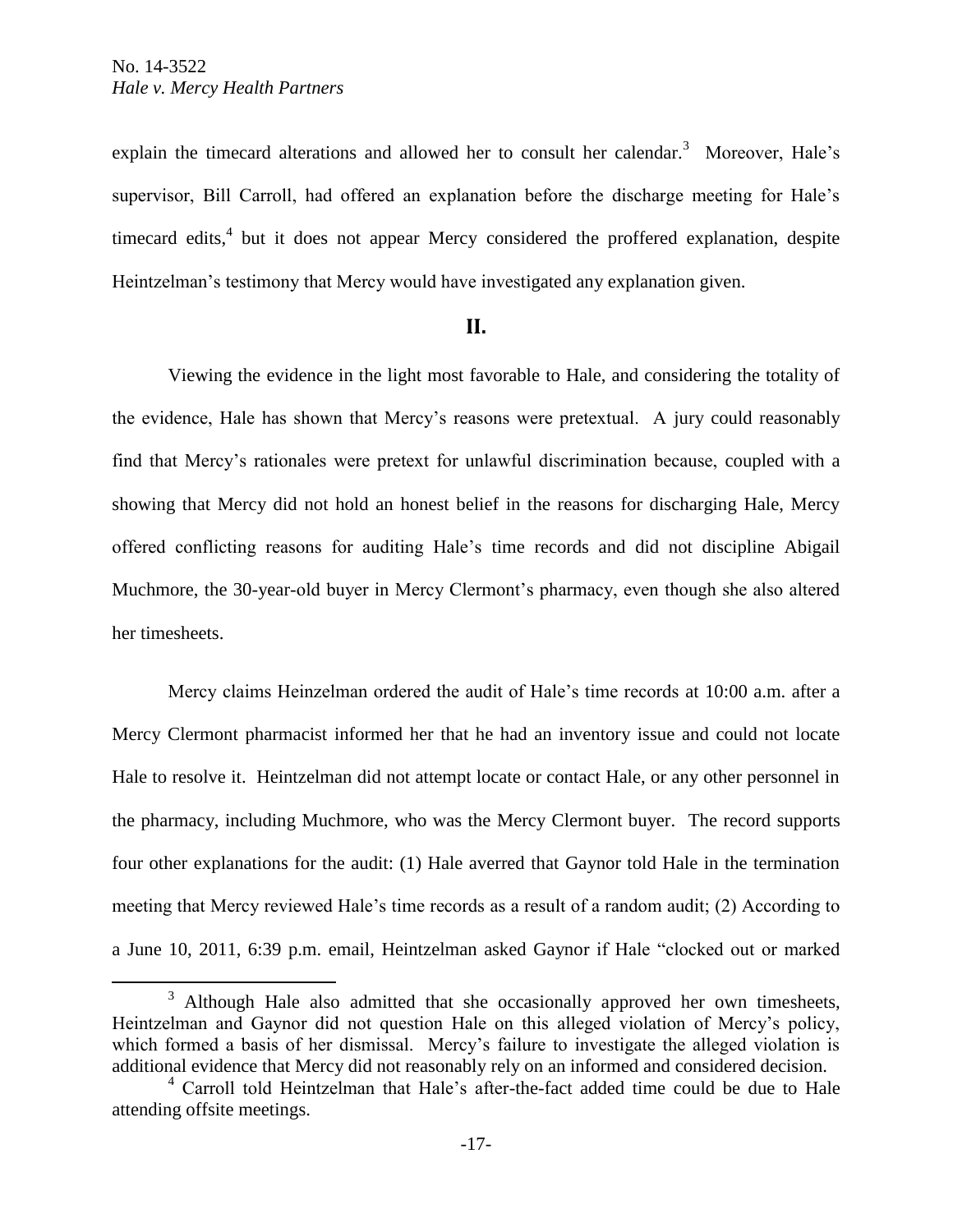$\overline{a}$ 

explain the timecard alterations and allowed her to consult her calendar.<sup>3</sup> Moreover, Hale's supervisor, Bill Carroll, had offered an explanation before the discharge meeting for Hale's timecard edits,<sup>4</sup> but it does not appear Mercy considered the proffered explanation, despite Heintzelman's testimony that Mercy would have investigated any explanation given.

### **II.**

Viewing the evidence in the light most favorable to Hale, and considering the totality of the evidence, Hale has shown that Mercy's reasons were pretextual. A jury could reasonably find that Mercy's rationales were pretext for unlawful discrimination because, coupled with a showing that Mercy did not hold an honest belief in the reasons for discharging Hale, Mercy offered conflicting reasons for auditing Hale's time records and did not discipline Abigail Muchmore, the 30-year-old buyer in Mercy Clermont's pharmacy, even though she also altered her timesheets.

Mercy claims Heinzelman ordered the audit of Hale's time records at 10:00 a.m. after a Mercy Clermont pharmacist informed her that he had an inventory issue and could not locate Hale to resolve it. Heintzelman did not attempt locate or contact Hale, or any other personnel in the pharmacy, including Muchmore, who was the Mercy Clermont buyer. The record supports four other explanations for the audit: (1) Hale averred that Gaynor told Hale in the termination meeting that Mercy reviewed Hale's time records as a result of a random audit; (2) According to a June 10, 2011, 6:39 p.m. email, Heintzelman asked Gaynor if Hale "clocked out or marked

<sup>&</sup>lt;sup>3</sup> Although Hale also admitted that she occasionally approved her own timesheets, Heintzelman and Gaynor did not question Hale on this alleged violation of Mercy's policy, which formed a basis of her dismissal. Mercy's failure to investigate the alleged violation is additional evidence that Mercy did not reasonably rely on an informed and considered decision.

<sup>4</sup> Carroll told Heintzelman that Hale's after-the-fact added time could be due to Hale attending offsite meetings.